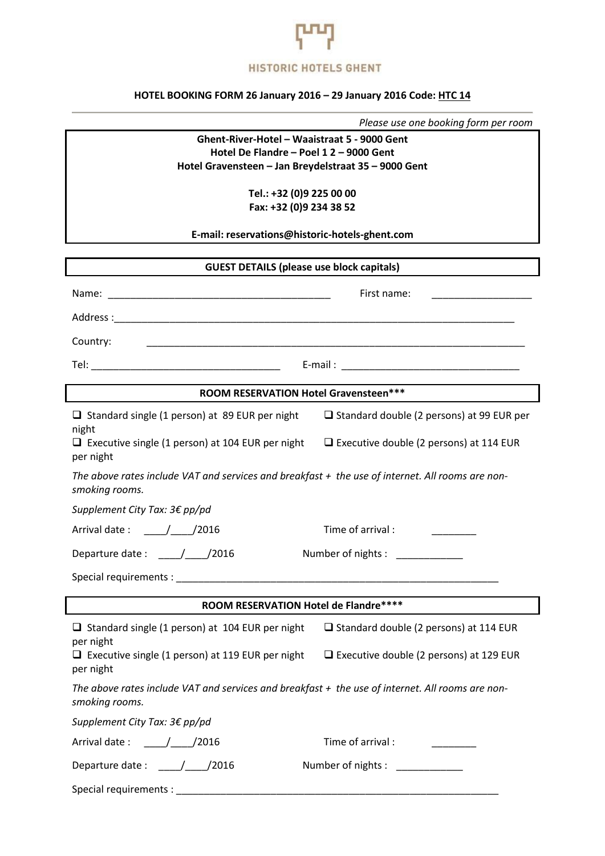

## **HOTEL BOOKING FORM 26 January 2016 – 29 January 2016 Code: HTC 14**

|  | Please use one booking form per room |  |  |
|--|--------------------------------------|--|--|
|--|--------------------------------------|--|--|

**Ghent-River-Hotel – Waaistraat 5 - 9000 Gent Hotel De Flandre – Poel 1 2 – 9000 Gent Hotel Gravensteen – Jan Breydelstraat 35 – 9000 Gent**

> **Tel.: +32 (0)9 225 00 00 Fax: +32 (0)9 234 38 52**

**E-mail: reservations@historic-hotels-ghent.com**

| <b>GUEST DETAILS (please use block capitals)</b>                                                                   |                                                  |  |  |  |
|--------------------------------------------------------------------------------------------------------------------|--------------------------------------------------|--|--|--|
|                                                                                                                    | First name:                                      |  |  |  |
|                                                                                                                    |                                                  |  |  |  |
| Country:                                                                                                           |                                                  |  |  |  |
|                                                                                                                    |                                                  |  |  |  |
| ROOM RESERVATION Hotel Gravensteen***                                                                              |                                                  |  |  |  |
| $\Box$ Standard single (1 person) at 89 EUR per night<br>night                                                     | $\Box$ Standard double (2 persons) at 99 EUR per |  |  |  |
| $\Box$ Executive single (1 person) at 104 EUR per night<br>per night                                               | $\Box$ Executive double (2 persons) at 114 EUR   |  |  |  |
| The above rates include VAT and services and breakfast + the use of internet. All rooms are non-<br>smoking rooms. |                                                  |  |  |  |
| Supplement City Tax: 3€ pp/pd                                                                                      |                                                  |  |  |  |
| Arrival date: / / /2016                                                                                            | Time of arrival :                                |  |  |  |
|                                                                                                                    | Number of nights : ______________                |  |  |  |
|                                                                                                                    |                                                  |  |  |  |
| ROOM RESERVATION Hotel de Flandre****                                                                              |                                                  |  |  |  |
| $\Box$ Standard single (1 person) at 104 EUR per night                                                             | $\Box$ Standard double (2 persons) at 114 EUR    |  |  |  |
| per night<br>$\Box$ Executive single (1 person) at 119 EUR per night<br>per night                                  | $\Box$ Executive double (2 persons) at 129 EUR   |  |  |  |
| The above rates include VAT and services and breakfast + the use of internet. All rooms are non-<br>smoking rooms. |                                                  |  |  |  |
| Supplement City Tax: 3€ pp/pd                                                                                      |                                                  |  |  |  |
|                                                                                                                    | Time of arrival : Time of arrival :              |  |  |  |
| Departure date: ____/____/2016                                                                                     | Number of nights : _____________                 |  |  |  |
|                                                                                                                    |                                                  |  |  |  |